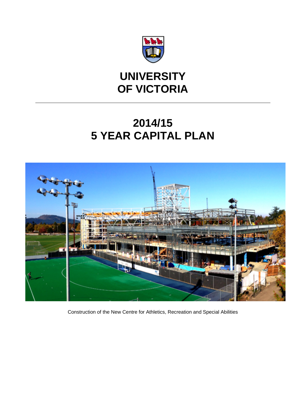

## **UNIVERSITY OF VICTORIA**

# **2014/15 5 YEAR CAPITAL PLAN**



Construction of the New Centre for Athletics, Recreation and Special Abilities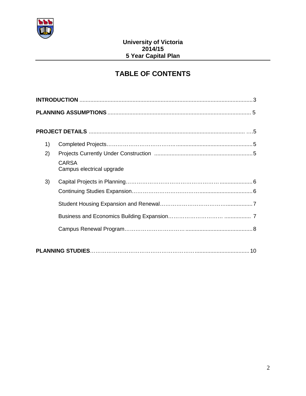

## **TABLE OF CONTENTS**

| 1) |                                           |  |  |  |  |
|----|-------------------------------------------|--|--|--|--|
| 2) | <b>CARSA</b><br>Campus electrical upgrade |  |  |  |  |
| 3) |                                           |  |  |  |  |
|    |                                           |  |  |  |  |
|    |                                           |  |  |  |  |
|    |                                           |  |  |  |  |
|    |                                           |  |  |  |  |
|    |                                           |  |  |  |  |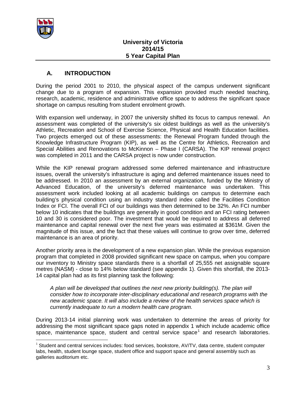

## **A. INTRODUCTION**

During the period 2001 to 2010, the physical aspect of the campus underwent significant change due to a program of expansion. This expansion provided much needed teaching, research, academic, residence and administrative office space to address the significant space shortage on campus resulting from student enrolment growth.

With expansion well underway, in 2007 the university shifted its focus to campus renewal. An assessment was completed of the university's six oldest buildings as well as the university's Athletic, Recreation and School of Exercise Science, Physical and Health Education facilities. Two projects emerged out of these assessments: the Renewal Program funded through the Knowledge Infrastructure Program (KIP), as well as the Centre for Athletics, Recreation and Special Abilities and Renovations to McKinnon – Phase I (CARSA). The KIP renewal project was completed in 2011 and the CARSA project is now under construction.

While the KIP renewal program addressed some deferred maintenance and infrastructure issues, overall the university's infrastructure is aging and deferred maintenance issues need to be addressed. In 2010 an assessment by an external organization, funded by the Ministry of Advanced Education, of the university's deferred maintenance was undertaken. This assessment work included looking at all academic buildings on campus to determine each building's physical condition using an industry standard index called the Facilities Condition Index or FCI. The overall FCI of our buildings was then determined to be 32%. An FCI number below 10 indicates that the buildings are generally in good condition and an FCI rating between 10 and 30 is considered poor. The investment that would be required to address all deferred maintenance and capital renewal over the next five years was estimated at \$361M. Given the magnitude of this issue, and the fact that these values will continue to grow over time, deferred maintenance is an area of priority.

Another priority area is the development of a new expansion plan. While the previous expansion program that completed in 2008 provided significant new space on campus, when you compare our inventory to Ministry space standards there is a shortfall of 25,555 net assignable square metres (NASM) - close to 14% below standard (see appendix 1). Given this shortfall, the 2013- 14 capital plan had as its first planning task the following:

*A plan will be developed that outlines the next new priority building(s). The plan will consider how to incorporate inter-disciplinary educational and research programs with the new academic space. It will also include a review of the health services space which is currently inadequate to run a modern health care program.*

During 2013-14 initial planning work was undertaken to determine the areas of priority for addressing the most significant space gaps noted in appendix 1 which include academic office space, maintenance space, student and central service space<sup>[1](#page-2-0)</sup> and research laboratories.

<span id="page-2-0"></span><sup>&</sup>lt;sup>1</sup> Student and central services includes: food services, bookstore, AV/TV, data centre, student computer labs, health, student lounge space, student office and support space and general assembly such as galleries auditorium etc.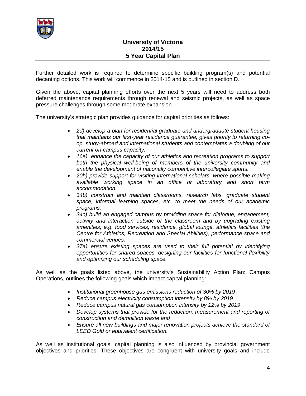

Further detailed work is required to determine specific building program(s) and potential decanting options. This work will commence in 2014-15 and is outlined in section D.

Given the above, capital planning efforts over the next 5 years will need to address both deferred maintenance requirements through renewal and seismic projects, as well as space pressure challenges through some moderate expansion.

The university's strategic plan provides guidance for capital priorities as follows:

- *2d) develop a plan for residential graduate and undergraduate student housing that maintains our first-year residence guarantee, gives priority to returning coop, study-abroad and international students and contemplates a doubling of our current on-campus capacity.*
- *16e) enhance the capacity of our athletics and recreation programs to support both the physical well-being of members of the university community and enable the development of nationally competitive intercollegiate sports.*
- *20h) provide support for visiting international scholars, where possible making available working space in an office or laboratory and short term accommodation.*
- *34b) construct and maintain classrooms, research labs, graduate student space, informal learning spaces, etc. to meet the needs of our academic programs.*
- *34c) build an engaged campus by providing space for dialogue, engagement, activity and interaction outside of the classroom and by upgrading existing amenities; e.g. food services, residence, global lounge, athletics facilities (the Centre for Athletics, Recreation and Special Abilities), performance space and commercial venues.*
- *37a) ensure existing spaces are used to their full potential by identifying opportunities for shared spaces, designing our facilities for functional flexibility and optimizing our scheduling space.*

As well as the goals listed above, the university's Sustainability Action Plan: Campus Operations, outlines the following goals which impact capital planning:

- *Institutional greenhouse gas emissions reduction of 30% by 2019*
- *Reduce campus electricity consumption intensity by 8% by 2019*
- *Reduce campus natural gas consumption intensity by 12% by 2019*
- *Develop systems that provide for the reduction, measurement and reporting of construction and demolition waste and*
- *Ensure all new buildings and major renovation projects achieve the standard of LEED Gold or equivalent certification.*

As well as institutional goals, capital planning is also influenced by provincial government objectives and priorities. These objectives are congruent with university goals and include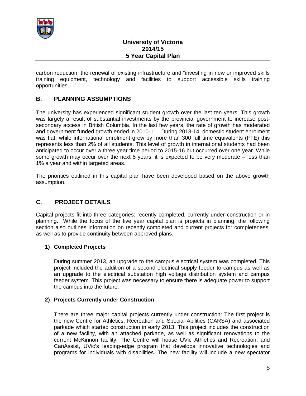

carbon reduction, the renewal of existing infrastructure and "investing in new or improved skills training equipment, technology and facilities to support accessible skills training opportunities…."

## **B. PLANNING ASSUMPTIONS**

The university has experienced significant student growth over the last ten years. This growth was largely a result of substantial investments by the provincial government to increase postsecondary access in British Columbia. In the last few years, the rate of growth has moderated and government funded growth ended in 2010-11. During 2013-14, domestic student enrolment was flat; while international enrolment grew by more than 300 full time equivalents (FTE) this represents less than 2% of all students. This level of growth in international students had been anticipated to occur over a three year time period to 2015-16 but occurred over one year. While some growth may occur over the next 5 years, it is expected to be very moderate – less than 1% a year and within targeted areas.

The priorities outlined in this capital plan have been developed based on the above growth assumption.

### **C. PROJECT DETAILS**

Capital projects fit into three categories: recently completed, currently under construction or in planning. While the focus of the five year capital plan is projects in planning, the following section also outlines information on recently completed and current projects for completeness, as well as to provide continuity between approved plans.

#### **1) Completed Projects**

During summer 2013, an upgrade to the campus electrical system was completed. This project included the addition of a second electrical supply feeder to campus as well as an upgrade to the electrical substation high voltage distribution system and campus feeder system. This project was necessary to ensure there is adequate power to support the campus into the future.

#### **2) Projects Currently under Construction**

There are three major capital projects currently under construction: The first project is the new Centre for Athletics, Recreation and Special Abilities (CARSA) and associated parkade which started construction in early 2013. This project includes the construction of a new facility, with an attached parkade, as well as significant renovations to the current McKinnon facility. The Centre will house UVic Athletics and Recreation, and CanAssist, UVic's leading-edge program that develops innovative technologies and programs for individuals with disabilities. The new facility will include a new spectator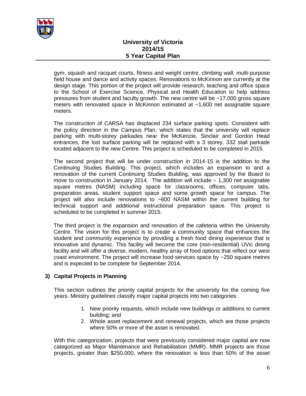

gym, squash and racquet courts, fitness and weight centre, climbing wall, multi-purpose field house and dance and activity spaces. Renovations to McKinnon are currently at the design stage. This portion of the project will provide research, teaching and office space to the School of Exercise Science, Physical and Health Education to help address pressures from student and faculty growth. The new centre will be ~17,000 gross square meters with renovated space in McKinnon estimated at ~1,600 net assignable square meters.

The construction of CARSA has displaced 234 surface parking spots. Consistent with the policy direction in the Campus Plan, which states that the university will replace parking with multi-storey parkades near the McKenzie, Sinclair and Gordon Head entrances, the lost surface parking will be replaced with a 3 storey, 332 stall parkade located adjacent to the new Centre. This project is scheduled to be completed in 2015.

The second project that will be under construction in 2014-15 is the addition to the Continuing Studies Building. This project, which includes an expansion to and a renovation of the current Continuing Studies Building, was approved by the Board to move to construction in January 2014. The addition will include  $\sim$  1,300 net assignable square metres (NASM) including space for classrooms, offices, computer labs, preparation areas, student support space and some growth space for campus. The project will also include renovations to ~600 NASM within the current building for technical support and additional instructional preparation space. This project is scheduled to be completed in summer 2015.

The third project is the expansion and renovation of the cafeteria within the University Centre. The vision for this project is to create a community space that enhances the student and community experience by providing a fresh food dining experience that is innovative and dynamic. This facility will become the core (non-residential) UVic dining facility and will offer a diverse, modern, healthy array of food options that reflect our west coast environment. The project will increase food services space by ~250 square metres and is expected to be complete for September 2014.

#### **3) Capital Projects in Planning**

This section outlines the priority capital projects for the university for the coming five years. Ministry guidelines classify major capital projects into two categories:

- 1. New priority requests, which include new buildings or additions to current building; and
- 2. Whole asset replacement and renewal projects, which are those projects where 50% or more of the asset is renovated.

With this categorization, projects that were previously considered major capital are now categorized as Major Maintenance and Rehabilitation (MMR). MMR projects are those projects, greater than \$250,000, where the renovation is less than 50% of the asset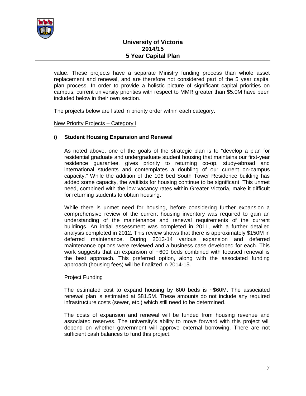

value. These projects have a separate Ministry funding process than whole asset replacement and renewal, and are therefore not considered part of the 5 year capital plan process. In order to provide a holistic picture of significant capital priorities on campus, current university priorities with respect to MMR greater than \$5.0M have been included below in their own section.

The projects below are listed in priority order within each category.

#### New Priority Projects – Category I

#### **i) Student Housing Expansion and Renewal**

As noted above, one of the goals of the strategic plan is to "develop a plan for residential graduate and undergraduate student housing that maintains our first-year residence guarantee, gives priority to returning co-op, study-abroad and international students and contemplates a doubling of our current on-campus capacity." While the addition of the 106 bed South Tower Residence building has added some capacity, the waitlists for housing continue to be significant. This unmet need, combined with the low vacancy rates within Greater Victoria, make it difficult for returning students to obtain housing.

While there is unmet need for housing, before considering further expansion a comprehensive review of the current housing inventory was required to gain an understanding of the maintenance and renewal requirements of the current buildings. An initial assessment was completed in 2011, with a further detailed analysis completed in 2012. This review shows that there is approximately \$150M in deferred maintenance. During 2013-14 various expansion and deferred maintenance options were reviewed and a business case developed for each. This work suggests that an expansion of ~600 beds combined with focused renewal is the best approach. This preferred option, along with the associated funding approach (housing fees) will be finalized in 2014-15.

#### Project Funding

The estimated cost to expand housing by 600 beds is  $\sim$ \$60M. The associated renewal plan is estimated at \$81.5M. These amounts do not include any required infrastructure costs (sewer, etc.) which still need to be determined.

The costs of expansion and renewal will be funded from housing revenue and associated reserves. The university's ability to move forward with this project will depend on whether government will approve external borrowing. There are not sufficient cash balances to fund this project.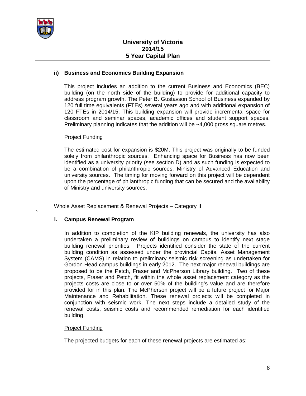

`

#### **ii) Business and Economics Building Expansion**

This project includes an addition to the current Business and Economics (BEC) building (on the north side of the building) to provide for additional capacity to address program growth. The Peter B. Gustavson School of Business expanded by 120 full time equivalents (FTEs) several years ago and with additional expansion of 120 FTEs in 2014/15. This building expansion will provide incremental space for classroom and seminar spaces, academic offices and student support spaces. Preliminary planning indicates that the addition will be  $\sim$ 4,000 gross square metres.

#### Project Funding

The estimated cost for expansion is \$20M. This project was originally to be funded solely from philanthropic sources. Enhancing space for Business has now been identified as a university priority (see section D) and as such funding is expected to be a combination of philanthropic sources, Ministry of Advanced Education and university sources. The timing for moving forward on this project will be dependent upon the percentage of philanthropic funding that can be secured and the availability of Ministry and university sources.

Whole Asset Replacement & Renewal Projects – Category II

#### **i. Campus Renewal Program**

In addition to completion of the KIP building renewals, the university has also undertaken a preliminary review of buildings on campus to identify next stage building renewal priorities. Projects identified consider the state of the current building condition as assessed under the provincial Capital Asset Management System (CAMS) in relation to preliminary seismic risk screening as undertaken for Gordon Head campus buildings in early 2012. The next major renewal buildings are proposed to be the Petch, Fraser and McPherson Library building. Two of these projects, Fraser and Petch, fit within the whole asset replacement category as the projects costs are close to or over 50% of the building's value and are therefore provided for in this plan. The McPherson project will be a future project for Major Maintenance and Rehabilitation. These renewal projects will be completed in conjunction with seismic work. The next steps include a detailed study of the renewal costs, seismic costs and recommended remediation for each identified building.

#### Project Funding

The projected budgets for each of these renewal projects are estimated as: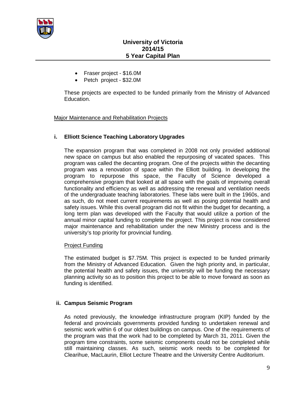

- Fraser project \$16.0M
- Petch project \$32.0M

These projects are expected to be funded primarily from the Ministry of Advanced Education.

#### Major Maintenance and Rehabilitation Projects

#### **i. Elliott Science Teaching Laboratory Upgrades**

The expansion program that was completed in 2008 not only provided additional new space on campus but also enabled the repurposing of vacated spaces. This program was called the decanting program. One of the projects within the decanting program was a renovation of space within the Elliott building. In developing the program to repurpose this space, the Faculty of Science developed a comprehensive program that looked at all space with the goals of improving overall functionality and efficiency as well as addressing the renewal and ventilation needs of the undergraduate teaching laboratories. These labs were built in the 1960s, and as such, do not meet current requirements as well as posing potential health and safety issues. While this overall program did not fit within the budget for decanting, a long term plan was developed with the Faculty that would utilize a portion of the annual minor capital funding to complete the project. This project is now considered major maintenance and rehabilitation under the new Ministry process and is the university's top priority for provincial funding.

#### Project Funding

The estimated budget is \$7.75M. This project is expected to be funded primarily from the Ministry of Advanced Education. Given the high priority and, in particular, the potential health and safety issues, the university will be funding the necessary planning activity so as to position this project to be able to move forward as soon as funding is identified.

#### **ii. Campus Seismic Program**

As noted previously, the knowledge infrastructure program (KIP) funded by the federal and provincials governments provided funding to undertaken renewal and seismic work within 6 of our oldest buildings on campus. One of the requirements of the program was that the work had to be completed by March 31, 2011. Given the program time constraints, some seismic components could not be completed while still maintaining classes. As such, seismic work needs to be completed for Clearihue, MacLaurin, Elliot Lecture Theatre and the University Centre Auditorium.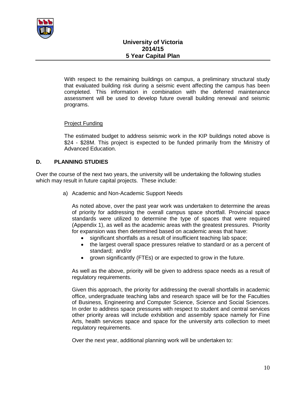

With respect to the remaining buildings on campus, a preliminary structural study that evaluated building risk during a seismic event affecting the campus has been completed. This information in combination with the deferred maintenance assessment will be used to develop future overall building renewal and seismic programs.

#### Project Funding

The estimated budget to address seismic work in the KIP buildings noted above is \$24 - \$28M. This project is expected to be funded primarily from the Ministry of Advanced Education.

#### **D. PLANNING STUDIES**

Over the course of the next two years, the university will be undertaking the following studies which may result in future capital projects. These include:

a) Academic and Non-Academic Support Needs

As noted above, over the past year work was undertaken to determine the areas of priority for addressing the overall campus space shortfall. Provincial space standards were utilized to determine the type of spaces that were required (Appendix 1), as well as the academic areas with the greatest pressures. Priority for expansion was then determined based on academic areas that have:

- significant shortfalls as a result of insufficient teaching lab space;
- the largest overall space pressures relative to standard or as a percent of standard; and/or
- grown significantly (FTEs) or are expected to grow in the future.

As well as the above, priority will be given to address space needs as a result of regulatory requirements.

Given this approach, the priority for addressing the overall shortfalls in academic office, undergraduate teaching labs and research space will be for the Faculties of Business, Engineering and Computer Science, Science and Social Sciences. In order to address space pressures with respect to student and central services other priority areas will include exhibition and assembly space namely for Fine Arts, health services space and space for the university arts collection to meet regulatory requirements.

Over the next year, additional planning work will be undertaken to: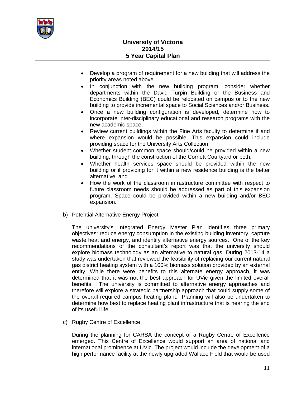

- Develop a program of requirement for a new building that will address the priority areas noted above.
- In conjunction with the new building program, consider whether departments within the David Turpin Building or the Business and Economics Building (BEC) could be relocated on campus or to the new building to provide incremental space to Social Sciences and/or Business.
- Once a new building configuration is developed, determine how to incorporate inter-disciplinary educational and research programs with the new academic space;
- Review current buildings within the Fine Arts faculty to determine if and where expansion would be possible. This expansion could include providing space for the University Arts Collection;
- Whether student common space should/could be provided within a new building, through the construction of the Cornett Courtyard or both;
- Whether health services space should be provided within the new building or if providing for it within a new residence building is the better alternative; and
- How the work of the classroom infrastructure committee with respect to future classroom needs should be addressed as part of this expansion program. Space could be provided within a new building and/or BEC expansion.
- b) Potential Alternative Energy Project

The university's Integrated Energy Master Plan identifies three primary objectives: reduce energy consumption in the existing building inventory, capture waste heat and energy, and identify alternative energy sources. One of the key recommendations of the consultant's report was that the university should explore biomass technology as an alternative to natural gas. During 2013-14 a study was undertaken that reviewed the feasibility of replacing our current natural gas district heating system with a 100% biomass solution provided by an external entity. While there were benefits to this alternate energy approach, it was determined that it was not the best approach for UVic given the limited overall benefits. The university is committed to alternative energy approaches and therefore will explore a strategic partnership approach that could supply some of the overall required campus heating plant. Planning will also be undertaken to determine how best to replace heating plant infrastructure that is nearing the end of its useful life.

c) Rugby Centre of Excellence

During the planning for CARSA the concept of a Rugby Centre of Excellence emerged. This Centre of Excellence would support an area of national and international prominence at UVic. The project would include the development of a high performance facility at the newly upgraded Wallace Field that would be used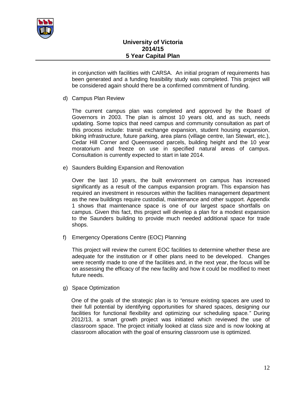

in conjunction with facilities with CARSA. An initial program of requirements has been generated and a funding feasibility study was completed. This project will be considered again should there be a confirmed commitment of funding.

d) Campus Plan Review

The current campus plan was completed and approved by the Board of Governors in 2003. The plan is almost 10 years old, and as such, needs updating. Some topics that need campus and community consultation as part of this process include: transit exchange expansion, student housing expansion, biking infrastructure, future parking, area plans (village centre, Ian Stewart, etc.), Cedar Hill Corner and Queenswood parcels, building height and the 10 year moratorium and freeze on use in specified natural areas of campus. Consultation is currently expected to start in late 2014.

e) Saunders Building Expansion and Renovation

Over the last 10 years, the built environment on campus has increased significantly as a result of the campus expansion program. This expansion has required an investment in resources within the facilities management department as the new buildings require custodial, maintenance and other support. Appendix 1 shows that maintenance space is one of our largest space shortfalls on campus. Given this fact, this project will develop a plan for a modest expansion to the Saunders building to provide much needed additional space for trade shops.

f) Emergency Operations Centre (EOC) Planning

This project will review the current EOC facilities to determine whether these are adequate for the institution or if other plans need to be developed. Changes were recently made to one of the facilities and, in the next year, the focus will be on assessing the efficacy of the new facility and how it could be modified to meet future needs.

g) Space Optimization

One of the goals of the strategic plan is to *"*ensure existing spaces are used to their full potential by identifying opportunities for shared spaces, designing our facilities for functional flexibility and optimizing our scheduling space*."* During 2012/13, a smart growth project was initiated which reviewed the use of classroom space. The project initially looked at class size and is now looking at classroom allocation with the goal of ensuring classroom use is optimized.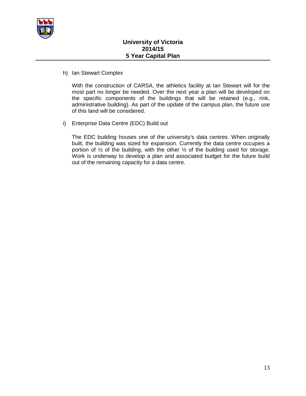

h) Ian Stewart Complex

With the construction of CARSA, the athletics facility at Ian Stewart will for the most part no longer be needed. Over the next year a plan will be developed on the specific components of the buildings that will be retained (e.g., rink, administrative building). As part of the update of the campus plan, the future use of this land will be considered.

i) Enterprise Data Centre (EDC) Build out

The EDC building houses one of the university's data centres. When originally built, the building was sized for expansion. Currently the data centre occupies a portion of  $\frac{1}{2}$  of the building, with the other  $\frac{1}{2}$  of the building used for storage. Work is underway to develop a plan and associated budget for the future build out of the remaining capacity for a data centre.